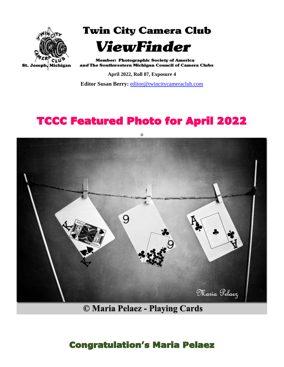

**Twin City Camera Club** 



**Member: Photographic Society of America** and The Southwestern Michigan Council of Camera Clubs

**April 2022, Roll 87, Exposure 4**

**Editor Susan Berry:** [editor@twincitycameraclub.com](mailto:editor@twincitycameraclub.com)

## TCCC Featured Photo for April 2022



© Maria Pelaez - Playing Cards

#### Congratulation's Maria Pelaez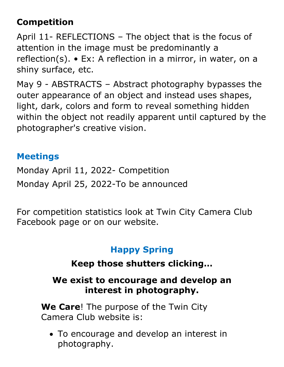### **Competition**

April 11- REFLECTIONS – The object that is the focus of attention in the image must be predominantly a reflection(s). • Ex: A reflection in a mirror, in water, on a shiny surface, etc.

May 9 - ABSTRACTS – Abstract photography bypasses the outer appearance of an object and instead uses shapes, light, dark, colors and form to reveal something hidden within the object not readily apparent until captured by the photographer's creative vision.

#### **Meetings**

Monday April 11, 2022- Competition Monday April 25, 2022-To be announced

For competition statistics look at Twin City Camera Club Facebook page or on our website.

### **Happy Spring**

#### **Keep those shutters clicking…**

#### **We exist to encourage and develop an interest in photography.**

**We Care**! The purpose of the Twin City Camera Club website is:

• To encourage and develop an interest in photography.